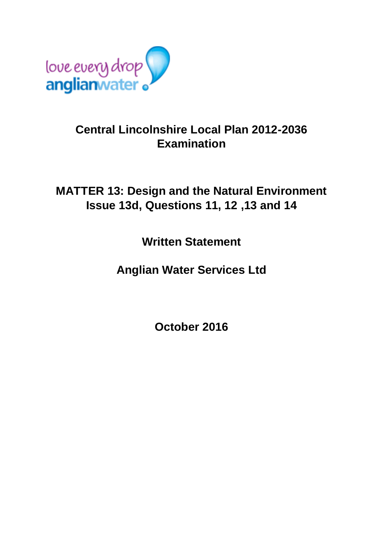

# **Central Lincolnshire Local Plan 2012-2036 Examination**

# **MATTER 13: Design and the Natural Environment Issue 13d, Questions 11, 12 ,13 and 14**

**Written Statement**

**Anglian Water Services Ltd**

**October 2016**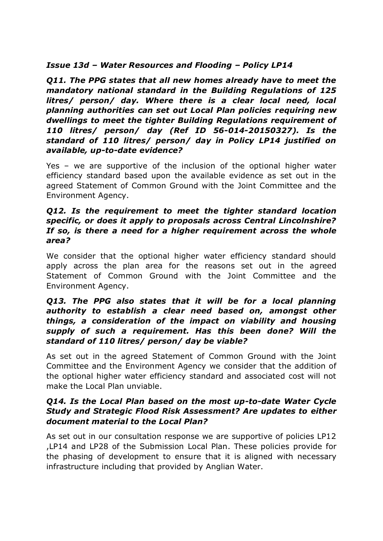### *Issue 13d – Water Resources and Flooding – Policy LP14*

*Q11. The PPG states that all new homes already have to meet the mandatory national standard in the Building Regulations of 125 litres/ person/ day. Where there is a clear local need, local planning authorities can set out Local Plan policies requiring new dwellings to meet the tighter Building Regulations requirement of 110 litres/ person/ day (Ref ID 56-014-20150327). Is the standard of 110 litres/ person/ day in Policy LP14 justified on available, up-to-date evidence?*

Yes – we are supportive of the inclusion of the optional higher water efficiency standard based upon the available evidence as set out in the agreed Statement of Common Ground with the Joint Committee and the Environment Agency.

### *Q12. Is the requirement to meet the tighter standard location specific, or does it apply to proposals across Central Lincolnshire? If so, is there a need for a higher requirement across the whole area?*

We consider that the optional higher water efficiency standard should apply across the plan area for the reasons set out in the agreed Statement of Common Ground with the Joint Committee and the Environment Agency.

### *Q13. The PPG also states that it will be for a local planning authority to establish a clear need based on, amongst other things, a consideration of the impact on viability and housing supply of such a requirement. Has this been done? Will the standard of 110 litres/ person/ day be viable?*

As set out in the agreed Statement of Common Ground with the Joint Committee and the Environment Agency we consider that the addition of the optional higher water efficiency standard and associated cost will not make the Local Plan unviable.

### *Q14. Is the Local Plan based on the most up-to-date Water Cycle Study and Strategic Flood Risk Assessment? Are updates to either document material to the Local Plan?*

As set out in our consultation response we are supportive of policies LP12 ,LP14 and LP28 of the Submission Local Plan. These policies provide for the phasing of development to ensure that it is aligned with necessary infrastructure including that provided by Anglian Water.